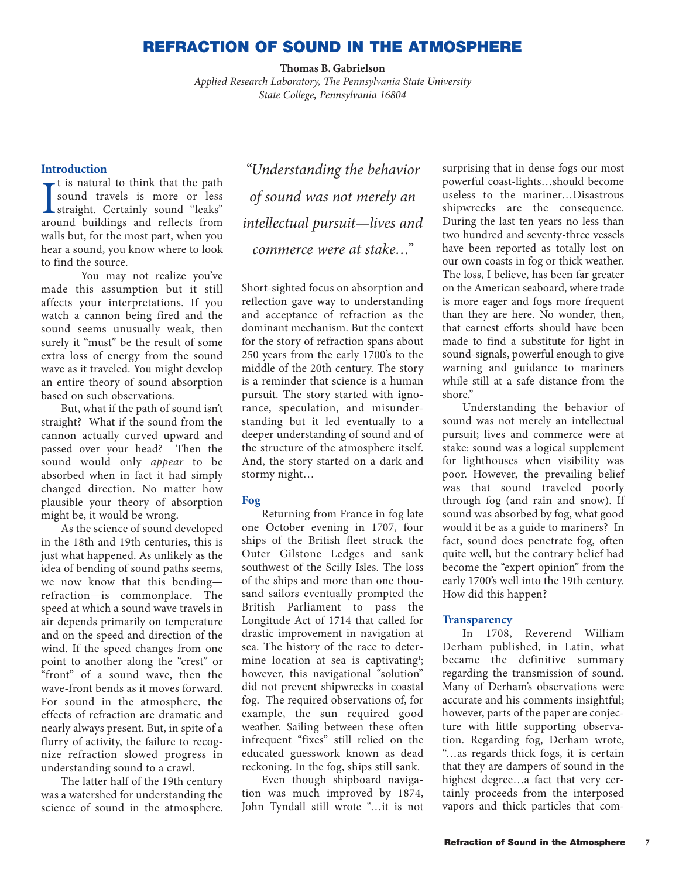# **REFRACTION OF SOUND IN THE ATMOSPHERE**

**Thomas B. Gabrielson**

*Applied Research Laboratory, The Pennsylvania State University State College, Pennsylvania 16804*

# **Introduction**

 $\prod_{\rm aro}$  $\blacktriangleright$  t is natural to think that the path sound travels is more or less straight. Certainly sound "leaks" around buildings and reflects from walls but, for the most part, when you hear a sound, you know where to look to find the source.

You may not realize you've made this assumption but it still affects your interpretations. If you watch a cannon being fired and the sound seems unusually weak, then surely it "must" be the result of some extra loss of energy from the sound wave as it traveled. You might develop an entire theory of sound absorption based on such observations.

But, what if the path of sound isn't straight? What if the sound from the cannon actually curved upward and passed over your head? Then the sound would only *appear* to be absorbed when in fact it had simply changed direction. No matter how plausible your theory of absorption might be, it would be wrong.

As the science of sound developed in the 18th and 19th centuries, this is just what happened. As unlikely as the idea of bending of sound paths seems, we now know that this bending refraction—is commonplace. The speed at which a sound wave travels in air depends primarily on temperature and on the speed and direction of the wind. If the speed changes from one point to another along the "crest" or "front" of a sound wave, then the wave-front bends as it moves forward. For sound in the atmosphere, the effects of refraction are dramatic and nearly always present. But, in spite of a flurry of activity, the failure to recognize refraction slowed progress in understanding sound to a crawl.

The latter half of the 19th century was a watershed for understanding the science of sound in the atmosphere.

*"Understanding the behavior of sound was not merely an intellectual pursuit—lives and commerce were at stake…"*

Short-sighted focus on absorption and reflection gave way to understanding and acceptance of refraction as the dominant mechanism. But the context for the story of refraction spans about 250 years from the early 1700's to the middle of the 20th century. The story is a reminder that science is a human pursuit. The story started with ignorance, speculation, and misunderstanding but it led eventually to a deeper understanding of sound and of the structure of the atmosphere itself. And, the story started on a dark and stormy night…

# **Fog**

Returning from France in fog late one October evening in 1707, four ships of the British fleet struck the Outer Gilstone Ledges and sank southwest of the Scilly Isles. The loss of the ships and more than one thousand sailors eventually prompted the British Parliament to pass the Longitude Act of 1714 that called for drastic improvement in navigation at sea. The history of the race to determine location at sea is captivating<sup>1</sup>; however, this navigational "solution" did not prevent shipwrecks in coastal fog. The required observations of, for example, the sun required good weather. Sailing between these often infrequent "fixes" still relied on the educated guesswork known as dead reckoning. In the fog, ships still sank.

Even though shipboard navigation was much improved by 1874, John Tyndall still wrote "…it is not

surprising that in dense fogs our most powerful coast-lights…should become useless to the mariner…Disastrous shipwrecks are the consequence. During the last ten years no less than two hundred and seventy-three vessels have been reported as totally lost on our own coasts in fog or thick weather. The loss, I believe, has been far greater on the American seaboard, where trade is more eager and fogs more frequent than they are here. No wonder, then, that earnest efforts should have been made to find a substitute for light in sound-signals, powerful enough to give warning and guidance to mariners while still at a safe distance from the shore."

Understanding the behavior of sound was not merely an intellectual pursuit; lives and commerce were at stake: sound was a logical supplement for lighthouses when visibility was poor. However, the prevailing belief was that sound traveled poorly through fog (and rain and snow). If sound was absorbed by fog, what good would it be as a guide to mariners? In fact, sound does penetrate fog, often quite well, but the contrary belief had become the "expert opinion" from the early 1700's well into the 19th century. How did this happen?

# **Transparency**

In 1708, Reverend William Derham published, in Latin, what became the definitive summary regarding the transmission of sound. Many of Derham's observations were accurate and his comments insightful; however, parts of the paper are conjecture with little supporting observation. Regarding fog, Derham wrote, "…as regards thick fogs, it is certain that they are dampers of sound in the highest degree…a fact that very certainly proceeds from the interposed vapors and thick particles that com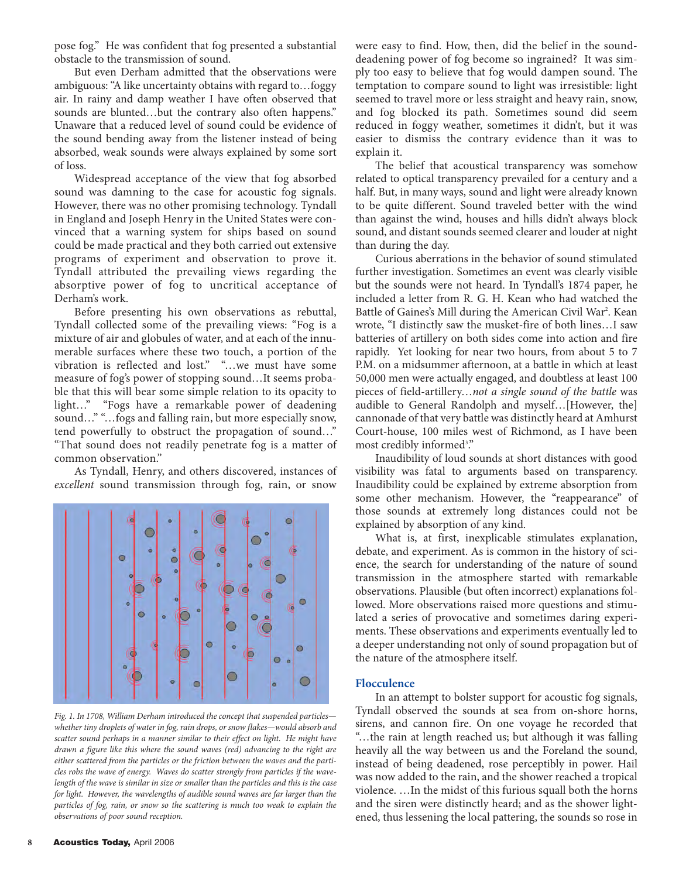pose fog." He was confident that fog presented a substantial obstacle to the transmission of sound.

But even Derham admitted that the observations were ambiguous: "A like uncertainty obtains with regard to…foggy air. In rainy and damp weather I have often observed that sounds are blunted…but the contrary also often happens." Unaware that a reduced level of sound could be evidence of the sound bending away from the listener instead of being absorbed, weak sounds were always explained by some sort of loss.

Widespread acceptance of the view that fog absorbed sound was damning to the case for acoustic fog signals. However, there was no other promising technology. Tyndall in England and Joseph Henry in the United States were convinced that a warning system for ships based on sound could be made practical and they both carried out extensive programs of experiment and observation to prove it. Tyndall attributed the prevailing views regarding the absorptive power of fog to uncritical acceptance of Derham's work.

Before presenting his own observations as rebuttal, Tyndall collected some of the prevailing views: "Fog is a mixture of air and globules of water, and at each of the innumerable surfaces where these two touch, a portion of the vibration is reflected and lost." "…we must have some measure of fog's power of stopping sound…It seems probable that this will bear some simple relation to its opacity to light…" "Fogs have a remarkable power of deadening sound…" "…fogs and falling rain, but more especially snow, tend powerfully to obstruct the propagation of sound…" "That sound does not readily penetrate fog is a matter of common observation."

As Tyndall, Henry, and others discovered, instances of *excellent* sound transmission through fog, rain, or snow



*Fig. 1. In 1708, William Derham introduced the concept that suspended particles whether tiny droplets of water in fog, rain drops, or snow flakes—would absorb and scatter sound perhaps in a manner similar to their effect on light. He might have drawn a figure like this where the sound waves (red) advancing to the right are either scattered from the particles or the friction between the waves and the particles robs the wave of energy. Waves do scatter strongly from particles if the wavelength of the wave is similar in size or smaller than the particles and this is the case for light. However, the wavelengths of audible sound waves are far larger than the particles of fog, rain, or snow so the scattering is much too weak to explain the observations of poor sound reception.*

were easy to find. How, then, did the belief in the sounddeadening power of fog become so ingrained? It was simply too easy to believe that fog would dampen sound. The temptation to compare sound to light was irresistible: light seemed to travel more or less straight and heavy rain, snow, and fog blocked its path. Sometimes sound did seem reduced in foggy weather, sometimes it didn't, but it was easier to dismiss the contrary evidence than it was to explain it.

The belief that acoustical transparency was somehow related to optical transparency prevailed for a century and a half. But, in many ways, sound and light were already known to be quite different. Sound traveled better with the wind than against the wind, houses and hills didn't always block sound, and distant sounds seemed clearer and louder at night than during the day.

Curious aberrations in the behavior of sound stimulated further investigation. Sometimes an event was clearly visible but the sounds were not heard. In Tyndall's 1874 paper, he included a letter from R. G. H. Kean who had watched the Battle of Gaines's Mill during the American Civil War<sup>2</sup>. Kean wrote, "I distinctly saw the musket-fire of both lines…I saw batteries of artillery on both sides come into action and fire rapidly. Yet looking for near two hours, from about 5 to 7 P.M. on a midsummer afternoon, at a battle in which at least 50,000 men were actually engaged, and doubtless at least 100 pieces of field-artillery…*not a single sound of the battle* was audible to General Randolph and myself…[However, the] cannonade of that very battle was distinctly heard at Amhurst Court-house, 100 miles west of Richmond, as I have been most credibly informed<sup>3</sup>."

Inaudibility of loud sounds at short distances with good visibility was fatal to arguments based on transparency. Inaudibility could be explained by extreme absorption from some other mechanism. However, the "reappearance" of those sounds at extremely long distances could not be explained by absorption of any kind.

What is, at first, inexplicable stimulates explanation, debate, and experiment. As is common in the history of science, the search for understanding of the nature of sound transmission in the atmosphere started with remarkable observations. Plausible (but often incorrect) explanations followed. More observations raised more questions and stimulated a series of provocative and sometimes daring experiments. These observations and experiments eventually led to a deeper understanding not only of sound propagation but of the nature of the atmosphere itself.

## **Flocculence**

In an attempt to bolster support for acoustic fog signals, Tyndall observed the sounds at sea from on-shore horns, sirens, and cannon fire. On one voyage he recorded that "…the rain at length reached us; but although it was falling heavily all the way between us and the Foreland the sound, instead of being deadened, rose perceptibly in power. Hail was now added to the rain, and the shower reached a tropical violence. …In the midst of this furious squall both the horns and the siren were distinctly heard; and as the shower lightened, thus lessening the local pattering, the sounds so rose in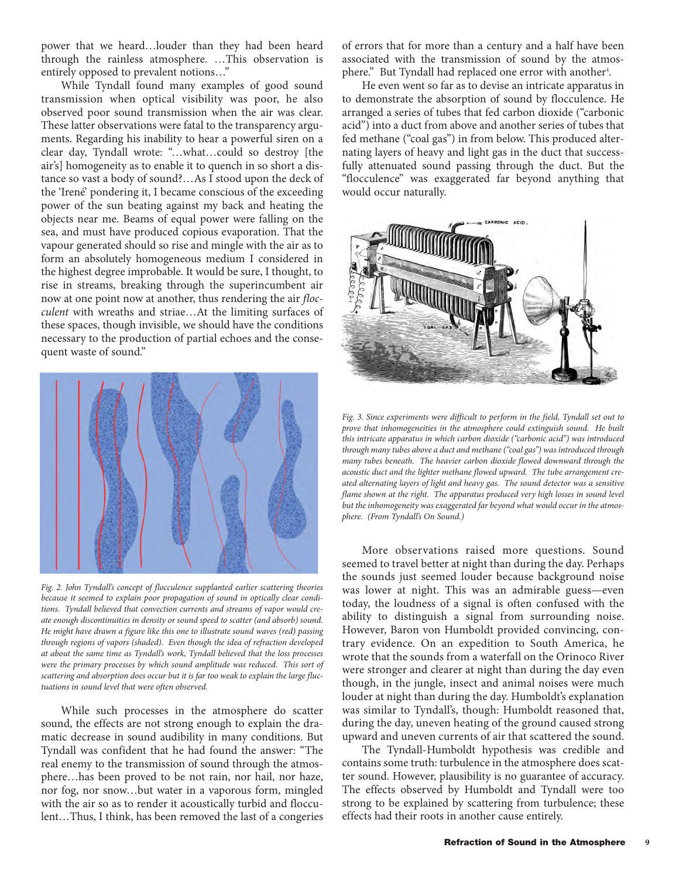power that we heard…louder than they had been heard through the rainless atmosphere. …This observation is entirely opposed to prevalent notions…"

While Tyndall found many examples of good sound transmission when optical visibility was poor, he also observed poor sound transmission when the air was clear. These latter observations were fatal to the transparency arguments. Regarding his inability to hear a powerful siren on a clear day, Tyndall wrote: "…what…could so destroy [the air's] homogeneity as to enable it to quench in so short a distance so vast a body of sound?…As I stood upon the deck of the 'Irené' pondering it, I became conscious of the exceeding power of the sun beating against my back and heating the objects near me. Beams of equal power were falling on the sea, and must have produced copious evaporation. That the vapour generated should so rise and mingle with the air as to form an absolutely homogeneous medium I considered in the highest degree improbable. It would be sure, I thought, to rise in streams, breaking through the superincumbent air now at one point now at another, thus rendering the air *flocculent* with wreaths and striae…At the limiting surfaces of these spaces, though invisible, we should have the conditions necessary to the production of partial echoes and the consequent waste of sound."



*Fig. 2. John Tyndall's concept of flocculence supplanted earlier scattering theories because it seemed to explain poor propagation of sound in optically clear conditions. Tyndall believed that convection currents and streams of vapor would create enough discontinuities in density or sound speed to scatter (and absorb) sound. He might have drawn a figure like this one to illustrate sound waves (red) passing through regions of vapors (shaded). Even though the idea of refraction developed at about the same time as Tyndall's work, Tyndall believed that the loss processes were the primary processes by which sound amplitude was reduced. This sort of scattering and absorption does occur but it is far too weak to explain the large fluctuations in sound level that were often observed.*

While such processes in the atmosphere do scatter sound, the effects are not strong enough to explain the dramatic decrease in sound audibility in many conditions. But Tyndall was confident that he had found the answer: "The real enemy to the transmission of sound through the atmosphere…has been proved to be not rain, nor hail, nor haze, nor fog, nor snow…but water in a vaporous form, mingled with the air so as to render it acoustically turbid and flocculent…Thus, I think, has been removed the last of a congeries

of errors that for more than a century and a half have been associated with the transmission of sound by the atmosphere." But Tyndall had replaced one error with another<sup>4</sup>.

He even went so far as to devise an intricate apparatus in to demonstrate the absorption of sound by flocculence. He arranged a series of tubes that fed carbon dioxide ("carbonic acid") into a duct from above and another series of tubes that fed methane ("coal gas") in from below. This produced alternating layers of heavy and light gas in the duct that successfully attenuated sound passing through the duct. But the "flocculence" was exaggerated far beyond anything that would occur naturally.



*Fig. 3. Since experiments were difficult to perform in the field, Tyndall set out to prove that inhomogeneities in the atmosphere could extinguish sound. He built this intricate apparatus in which carbon dioxide ("carbonic acid") was introduced through many tubes above a duct and methane ("coal gas") was introduced through many tubes beneath. The heavier carbon dioxide flowed downward through the acoustic duct and the lighter methane flowed upward. The tube arrangement created alternating layers of light and heavy gas. The sound detector was a sensitive flame shown at the right. The apparatus produced very high losses in sound level but the inhomogeneity was exaggerated far beyond what would occur in the atmosphere. (From Tyndall's On Sound.)*

More observations raised more questions. Sound seemed to travel better at night than during the day. Perhaps the sounds just seemed louder because background noise was lower at night. This was an admirable guess—even today, the loudness of a signal is often confused with the ability to distinguish a signal from surrounding noise. However, Baron von Humboldt provided convincing, contrary evidence. On an expedition to South America, he wrote that the sounds from a waterfall on the Orinoco River were stronger and clearer at night than during the day even though, in the jungle, insect and animal noises were much louder at night than during the day. Humboldt's explanation was similar to Tyndall's, though: Humboldt reasoned that, during the day, uneven heating of the ground caused strong upward and uneven currents of air that scattered the sound.

The Tyndall-Humboldt hypothesis was credible and contains some truth: turbulence in the atmosphere does scatter sound. However, plausibility is no guarantee of accuracy. The effects observed by Humboldt and Tyndall were too strong to be explained by scattering from turbulence; these effects had their roots in another cause entirely.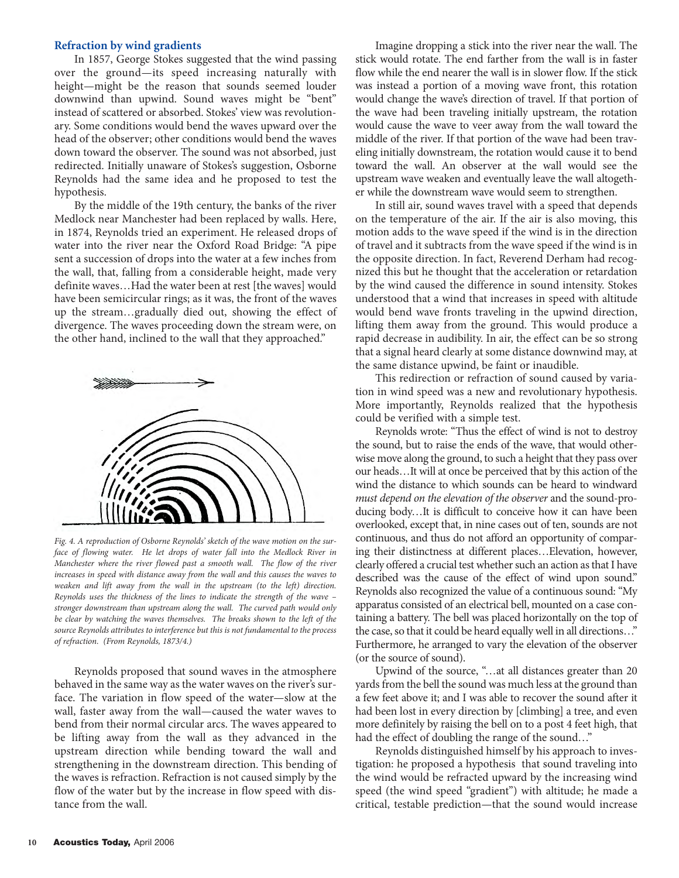#### **Refraction by wind gradients**

In 1857, George Stokes suggested that the wind passing over the ground—its speed increasing naturally with height—might be the reason that sounds seemed louder downwind than upwind. Sound waves might be "bent" instead of scattered or absorbed. Stokes' view was revolutionary. Some conditions would bend the waves upward over the head of the observer; other conditions would bend the waves down toward the observer. The sound was not absorbed, just redirected. Initially unaware of Stokes's suggestion, Osborne Reynolds had the same idea and he proposed to test the hypothesis.

By the middle of the 19th century, the banks of the river Medlock near Manchester had been replaced by walls. Here, in 1874, Reynolds tried an experiment. He released drops of water into the river near the Oxford Road Bridge: "A pipe sent a succession of drops into the water at a few inches from the wall, that, falling from a considerable height, made very definite waves…Had the water been at rest [the waves] would have been semicircular rings; as it was, the front of the waves up the stream…gradually died out, showing the effect of divergence. The waves proceeding down the stream were, on the other hand, inclined to the wall that they approached."



*Fig. 4. A reproduction of Osborne Reynolds' sketch of the wave motion on the surface of flowing water. He let drops of water fall into the Medlock River in Manchester where the river flowed past a smooth wall. The flow of the river increases in speed with distance away from the wall and this causes the waves to weaken and lift away from the wall in the upstream (to the left) direction. Reynolds uses the thickness of the lines to indicate the strength of the wave – stronger downstream than upstream along the wall. The curved path would only be clear by watching the waves themselves. The breaks shown to the left of the source Reynolds attributes to interference but this is not fundamental to the process of refraction. (From Reynolds, 1873/4.)*

Reynolds proposed that sound waves in the atmosphere behaved in the same way as the water waves on the river's surface. The variation in flow speed of the water—slow at the wall, faster away from the wall—caused the water waves to bend from their normal circular arcs. The waves appeared to be lifting away from the wall as they advanced in the upstream direction while bending toward the wall and strengthening in the downstream direction. This bending of the waves is refraction. Refraction is not caused simply by the flow of the water but by the increase in flow speed with distance from the wall.

Imagine dropping a stick into the river near the wall. The stick would rotate. The end farther from the wall is in faster flow while the end nearer the wall is in slower flow. If the stick was instead a portion of a moving wave front, this rotation would change the wave's direction of travel. If that portion of the wave had been traveling initially upstream, the rotation would cause the wave to veer away from the wall toward the middle of the river. If that portion of the wave had been traveling initially downstream, the rotation would cause it to bend toward the wall. An observer at the wall would see the upstream wave weaken and eventually leave the wall altogether while the downstream wave would seem to strengthen.

In still air, sound waves travel with a speed that depends on the temperature of the air. If the air is also moving, this motion adds to the wave speed if the wind is in the direction of travel and it subtracts from the wave speed if the wind is in the opposite direction. In fact, Reverend Derham had recognized this but he thought that the acceleration or retardation by the wind caused the difference in sound intensity. Stokes understood that a wind that increases in speed with altitude would bend wave fronts traveling in the upwind direction, lifting them away from the ground. This would produce a rapid decrease in audibility. In air, the effect can be so strong that a signal heard clearly at some distance downwind may, at the same distance upwind, be faint or inaudible.

This redirection or refraction of sound caused by variation in wind speed was a new and revolutionary hypothesis. More importantly, Reynolds realized that the hypothesis could be verified with a simple test.

Reynolds wrote: "Thus the effect of wind is not to destroy the sound, but to raise the ends of the wave, that would otherwise move along the ground, to such a height that they pass over our heads…It will at once be perceived that by this action of the wind the distance to which sounds can be heard to windward *must depend on the elevation of the observer* and the sound-producing body…It is difficult to conceive how it can have been overlooked, except that, in nine cases out of ten, sounds are not continuous, and thus do not afford an opportunity of comparing their distinctness at different places…Elevation, however, clearly offered a crucial test whether such an action as that I have described was the cause of the effect of wind upon sound." Reynolds also recognized the value of a continuous sound: "My apparatus consisted of an electrical bell, mounted on a case containing a battery. The bell was placed horizontally on the top of the case, so that it could be heard equally well in all directions…" Furthermore, he arranged to vary the elevation of the observer (or the source of sound).

Upwind of the source, "…at all distances greater than 20 yards from the bell the sound was much less at the ground than a few feet above it; and I was able to recover the sound after it had been lost in every direction by [climbing] a tree, and even more definitely by raising the bell on to a post 4 feet high, that had the effect of doubling the range of the sound…"

Reynolds distinguished himself by his approach to investigation: he proposed a hypothesis that sound traveling into the wind would be refracted upward by the increasing wind speed (the wind speed "gradient") with altitude; he made a critical, testable prediction—that the sound would increase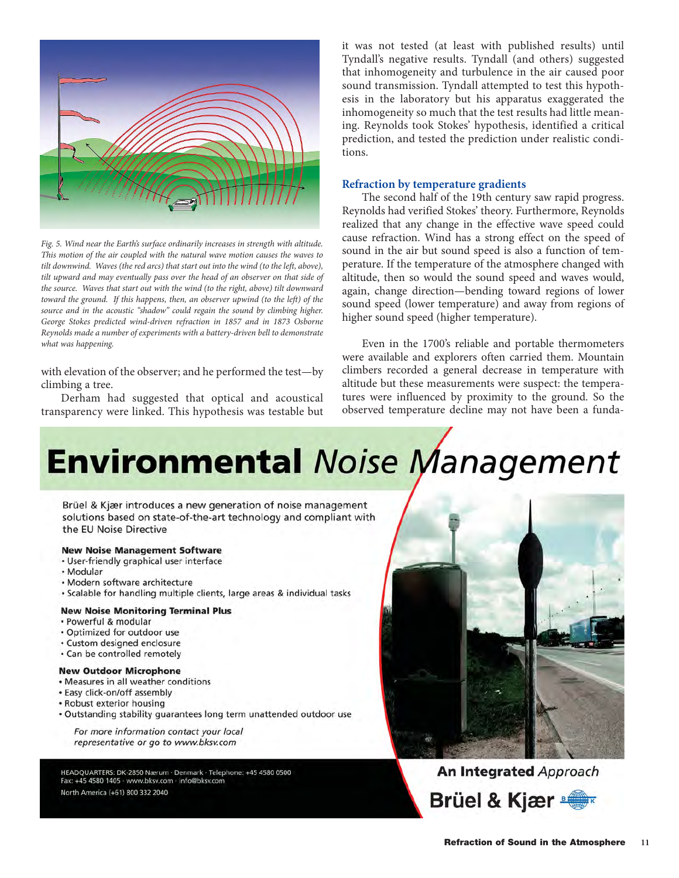

*Fig. 5. Wind near the Earth's surface ordinarily increases in strength with altitude. This motion of the air coupled with the natural wave motion causes the waves to tilt downwind. Waves (the red arcs) that start out into the wind (to the left, above), tilt upward and may eventually pass over the head of an observer on that side of the source. Waves that start out with the wind (to the right, above) tilt downward toward the ground. If this happens, then, an observer upwind (to the left) of the source and in the acoustic "shadow" could regain the sound by climbing higher. George Stokes predicted wind-driven refraction in 1857 and in 1873 Osborne Reynolds made a number of experiments with a battery-driven bell to demonstrate what was happening.*

with elevation of the observer; and he performed the test—by climbing a tree.

Derham had suggested that optical and acoustical transparency were linked. This hypothesis was testable but it was not tested (at least with published results) until Tyndall's negative results. Tyndall (and others) suggested that inhomogeneity and turbulence in the air caused poor sound transmission. Tyndall attempted to test this hypothesis in the laboratory but his apparatus exaggerated the inhomogeneity so much that the test results had little meaning. Reynolds took Stokes' hypothesis, identified a critical prediction, and tested the prediction under realistic conditions.

# **Refraction by temperature gradients**

The second half of the 19th century saw rapid progress. Reynolds had verified Stokes' theory. Furthermore, Reynolds realized that any change in the effective wave speed could cause refraction. Wind has a strong effect on the speed of sound in the air but sound speed is also a function of temperature. If the temperature of the atmosphere changed with altitude, then so would the sound speed and waves would, again, change direction—bending toward regions of lower sound speed (lower temperature) and away from regions of higher sound speed (higher temperature).

Even in the 1700's reliable and portable thermometers were available and explorers often carried them. Mountain climbers recorded a general decrease in temperature with altitude but these measurements were suspect: the temperatures were influenced by proximity to the ground. So the observed temperature decline may not have been a funda-

# **Environmental Noise Management**

Brüel & Kjær introduces a new generation of noise management solutions based on state-of-the-art technology and compliant with the EU Noise Directive

#### **New Noise Management Software**

- · User-friendly graphical user interface
- Modular
- Modern software architecture
- · Scalable for handling multiple clients, large areas & individual tasks

#### **New Noise Monitoring Terminal Plus**

- · Powerful & modular
- · Optimized for outdoor use
- Custom designed enclosure
- Can be controlled remotely

#### **New Outdoor Microphone**

- Measures in all weather conditions
- Easy click-on/off assembly
- Robust exterior housing
- Outstanding stability guarantees long term unattended outdoor use

For more information contact your local representative or go to www.bksv.com

HEADQUARTERS: DK-2850 Nærum · Denmark · Telephone: +45 4580 0500 Fax: +45 4580 1405 · www.bksv.com · info@bksv.com North America (+61) 800 332 2040



**An Integrated Approach** Brüel & Kjær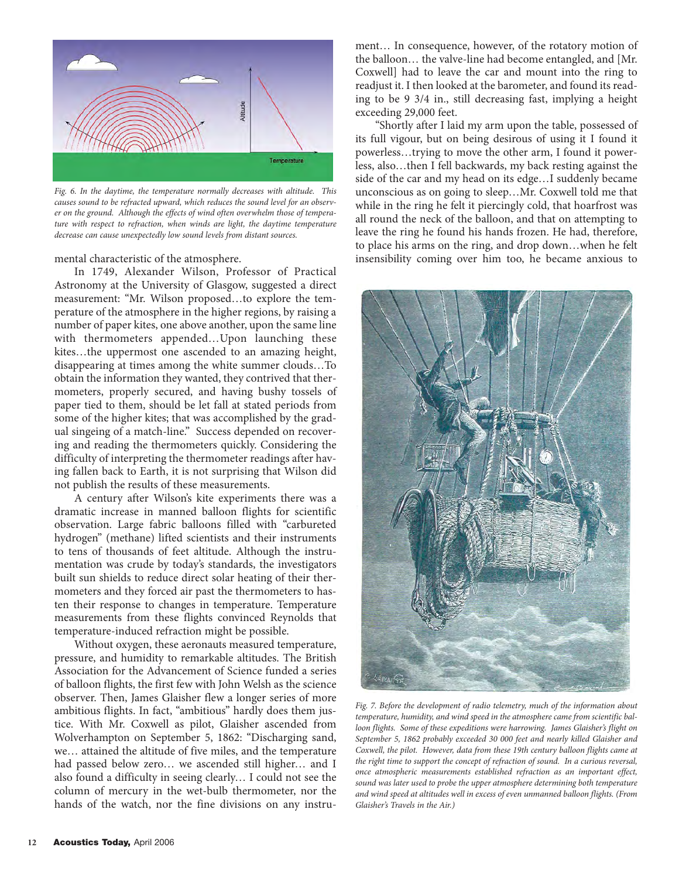

*Fig. 6. In the daytime, the temperature normally decreases with altitude. This causes sound to be refracted upward, which reduces the sound level for an observer on the ground. Although the effects of wind often overwhelm those of temperature with respect to refraction, when winds are light, the daytime temperature decrease can cause unexpectedly low sound levels from distant sources.*

mental characteristic of the atmosphere.

In 1749, Alexander Wilson, Professor of Practical Astronomy at the University of Glasgow, suggested a direct measurement: "Mr. Wilson proposed…to explore the temperature of the atmosphere in the higher regions, by raising a number of paper kites, one above another, upon the same line with thermometers appended…Upon launching these kites…the uppermost one ascended to an amazing height, disappearing at times among the white summer clouds…To obtain the information they wanted, they contrived that thermometers, properly secured, and having bushy tossels of paper tied to them, should be let fall at stated periods from some of the higher kites; that was accomplished by the gradual singeing of a match-line." Success depended on recovering and reading the thermometers quickly. Considering the difficulty of interpreting the thermometer readings after having fallen back to Earth, it is not surprising that Wilson did not publish the results of these measurements.

A century after Wilson's kite experiments there was a dramatic increase in manned balloon flights for scientific observation. Large fabric balloons filled with "carbureted hydrogen" (methane) lifted scientists and their instruments to tens of thousands of feet altitude. Although the instrumentation was crude by today's standards, the investigators built sun shields to reduce direct solar heating of their thermometers and they forced air past the thermometers to hasten their response to changes in temperature. Temperature measurements from these flights convinced Reynolds that temperature-induced refraction might be possible.

Without oxygen, these aeronauts measured temperature, pressure, and humidity to remarkable altitudes. The British Association for the Advancement of Science funded a series of balloon flights, the first few with John Welsh as the science observer. Then, James Glaisher flew a longer series of more ambitious flights. In fact, "ambitious" hardly does them justice. With Mr. Coxwell as pilot, Glaisher ascended from Wolverhampton on September 5, 1862: "Discharging sand, we… attained the altitude of five miles, and the temperature had passed below zero… we ascended still higher… and I also found a difficulty in seeing clearly… I could not see the column of mercury in the wet-bulb thermometer, nor the hands of the watch, nor the fine divisions on any instrument… In consequence, however, of the rotatory motion of the balloon… the valve-line had become entangled, and [Mr. Coxwell] had to leave the car and mount into the ring to readjust it. I then looked at the barometer, and found its reading to be 9 3/4 in., still decreasing fast, implying a height exceeding 29,000 feet.

"Shortly after I laid my arm upon the table, possessed of its full vigour, but on being desirous of using it I found it powerless…trying to move the other arm, I found it powerless, also…then I fell backwards, my back resting against the side of the car and my head on its edge…I suddenly became unconscious as on going to sleep…Mr. Coxwell told me that while in the ring he felt it piercingly cold, that hoarfrost was all round the neck of the balloon, and that on attempting to leave the ring he found his hands frozen. He had, therefore, to place his arms on the ring, and drop down…when he felt insensibility coming over him too, he became anxious to



*Fig. 7. Before the development of radio telemetry, much of the information about temperature, humidity, and wind speed in the atmosphere came from scientific balloon flights. Some of these expeditions were harrowing. James Glaisher's flight on September 5, 1862 probably exceeded 30 000 feet and nearly killed Glaisher and Coxwell, the pilot. However, data from these 19th century balloon flights came at the right time to support the concept of refraction of sound. In a curious reversal, once atmospheric measurements established refraction as an important effect, sound was later used to probe the upper atmosphere determining both temperature and wind speed at altitudes well in excess of even unmanned balloon flights. (From Glaisher's Travels in the Air.)*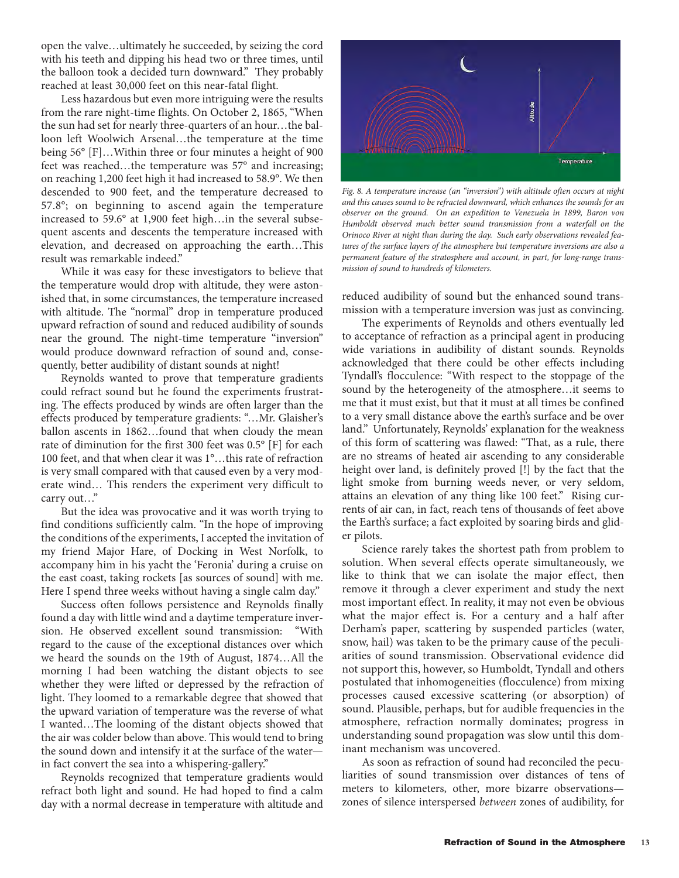open the valve…ultimately he succeeded, by seizing the cord with his teeth and dipping his head two or three times, until the balloon took a decided turn downward." They probably reached at least 30,000 feet on this near-fatal flight.

Less hazardous but even more intriguing were the results from the rare night-time flights. On October 2, 1865, "When the sun had set for nearly three-quarters of an hour…the balloon left Woolwich Arsenal…the temperature at the time being 56° [F]…Within three or four minutes a height of 900 feet was reached…the temperature was 57° and increasing; on reaching 1,200 feet high it had increased to 58.9°. We then descended to 900 feet, and the temperature decreased to 57.8°; on beginning to ascend again the temperature increased to 59.6° at 1,900 feet high…in the several subsequent ascents and descents the temperature increased with elevation, and decreased on approaching the earth…This result was remarkable indeed."

While it was easy for these investigators to believe that the temperature would drop with altitude, they were astonished that, in some circumstances, the temperature increased with altitude. The "normal" drop in temperature produced upward refraction of sound and reduced audibility of sounds near the ground. The night-time temperature "inversion" would produce downward refraction of sound and, consequently, better audibility of distant sounds at night!

Reynolds wanted to prove that temperature gradients could refract sound but he found the experiments frustrating. The effects produced by winds are often larger than the effects produced by temperature gradients: "…Mr. Glaisher's ballon ascents in 1862…found that when cloudy the mean rate of diminution for the first 300 feet was 0.5° [F] for each 100 feet, and that when clear it was 1°...this rate of refraction is very small compared with that caused even by a very moderate wind… This renders the experiment very difficult to carry out…"

But the idea was provocative and it was worth trying to find conditions sufficiently calm. "In the hope of improving the conditions of the experiments, I accepted the invitation of my friend Major Hare, of Docking in West Norfolk, to accompany him in his yacht the 'Feronia' during a cruise on the east coast, taking rockets [as sources of sound] with me. Here I spend three weeks without having a single calm day."

Success often follows persistence and Reynolds finally found a day with little wind and a daytime temperature inversion. He observed excellent sound transmission: "With regard to the cause of the exceptional distances over which we heard the sounds on the 19th of August, 1874…All the morning I had been watching the distant objects to see whether they were lifted or depressed by the refraction of light. They loomed to a remarkable degree that showed that the upward variation of temperature was the reverse of what I wanted…The looming of the distant objects showed that the air was colder below than above. This would tend to bring the sound down and intensify it at the surface of the water in fact convert the sea into a whispering-gallery."

Reynolds recognized that temperature gradients would refract both light and sound. He had hoped to find a calm day with a normal decrease in temperature with altitude and



*Fig. 8. A temperature increase (an "inversion") with altitude often occurs at night and this causes sound to be refracted downward, which enhances the sounds for an observer on the ground. On an expedition to Venezuela in 1899, Baron von Humboldt observed much better sound transmission from a waterfall on the Orinoco River at night than during the day. Such early observations revealed features of the surface layers of the atmosphere but temperature inversions are also a permanent feature of the stratosphere and account, in part, for long-range transmission of sound to hundreds of kilometers.*

reduced audibility of sound but the enhanced sound transmission with a temperature inversion was just as convincing.

The experiments of Reynolds and others eventually led to acceptance of refraction as a principal agent in producing wide variations in audibility of distant sounds. Reynolds acknowledged that there could be other effects including Tyndall's flocculence: "With respect to the stoppage of the sound by the heterogeneity of the atmosphere…it seems to me that it must exist, but that it must at all times be confined to a very small distance above the earth's surface and be over land." Unfortunately, Reynolds' explanation for the weakness of this form of scattering was flawed: "That, as a rule, there are no streams of heated air ascending to any considerable height over land, is definitely proved [!] by the fact that the light smoke from burning weeds never, or very seldom, attains an elevation of any thing like 100 feet." Rising currents of air can, in fact, reach tens of thousands of feet above the Earth's surface; a fact exploited by soaring birds and glider pilots.

Science rarely takes the shortest path from problem to solution. When several effects operate simultaneously, we like to think that we can isolate the major effect, then remove it through a clever experiment and study the next most important effect. In reality, it may not even be obvious what the major effect is. For a century and a half after Derham's paper, scattering by suspended particles (water, snow, hail) was taken to be the primary cause of the peculiarities of sound transmission. Observational evidence did not support this, however, so Humboldt, Tyndall and others postulated that inhomogeneities (flocculence) from mixing processes caused excessive scattering (or absorption) of sound. Plausible, perhaps, but for audible frequencies in the atmosphere, refraction normally dominates; progress in understanding sound propagation was slow until this dominant mechanism was uncovered.

As soon as refraction of sound had reconciled the peculiarities of sound transmission over distances of tens of meters to kilometers, other, more bizarre observations zones of silence interspersed *between* zones of audibility, for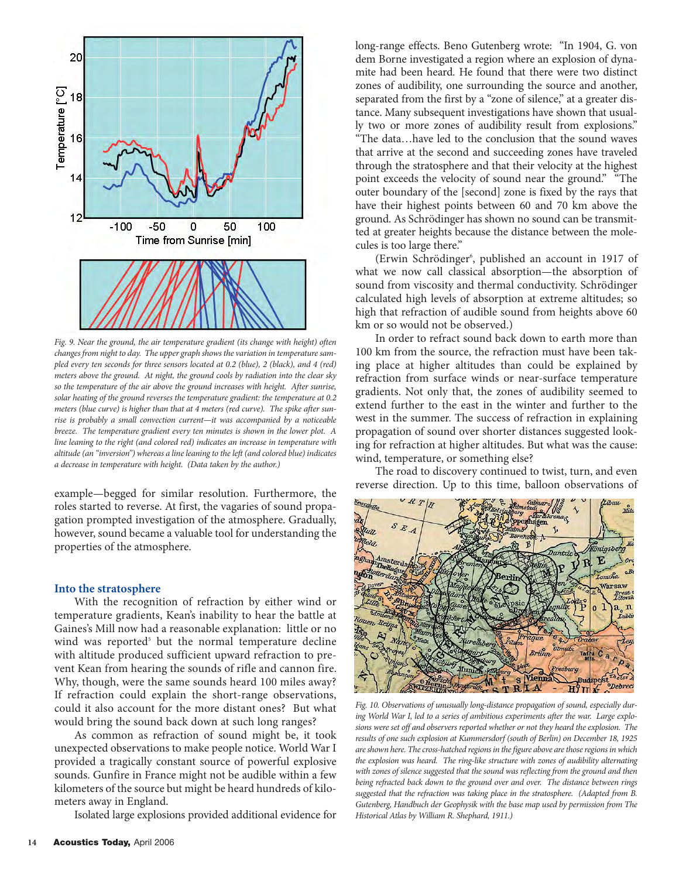

*Fig. 9. Near the ground, the air temperature gradient (its change with height) often changes from night to day. The upper graph shows the variation in temperature sampled every ten seconds for three sensors located at 0.2 (blue), 2 (black), and 4 (red) meters above the ground. At night, the ground cools by radiation into the clear sky so the temperature of the air above the ground increases with height. After sunrise, solar heating of the ground reverses the temperature gradient: the temperature at 0.2 meters (blue curve) is higher than that at 4 meters (red curve). The spike after sunrise is probably a small convection current—it was accompanied by a noticeable breeze. The temperature gradient every ten minutes is shown in the lower plot. A line leaning to the right (and colored red) indicates an increase in temperature with altitude (an "inversion") whereas a line leaning to the left (and colored blue) indicates a decrease in temperature with height. (Data taken by the author.)*

example—begged for similar resolution. Furthermore, the roles started to reverse. At first, the vagaries of sound propagation prompted investigation of the atmosphere. Gradually, however, sound became a valuable tool for understanding the properties of the atmosphere.

#### **Into the stratosphere**

With the recognition of refraction by either wind or temperature gradients, Kean's inability to hear the battle at Gaines's Mill now had a reasonable explanation: little or no wind was reported<sup>5</sup> but the normal temperature decline with altitude produced sufficient upward refraction to prevent Kean from hearing the sounds of rifle and cannon fire. Why, though, were the same sounds heard 100 miles away? If refraction could explain the short-range observations, could it also account for the more distant ones? But what would bring the sound back down at such long ranges?

As common as refraction of sound might be, it took unexpected observations to make people notice. World War I provided a tragically constant source of powerful explosive sounds. Gunfire in France might not be audible within a few kilometers of the source but might be heard hundreds of kilometers away in England.

Isolated large explosions provided additional evidence for

long-range effects. Beno Gutenberg wrote: "In 1904, G. von dem Borne investigated a region where an explosion of dynamite had been heard. He found that there were two distinct zones of audibility, one surrounding the source and another, separated from the first by a "zone of silence," at a greater distance. Many subsequent investigations have shown that usually two or more zones of audibility result from explosions." "The data…have led to the conclusion that the sound waves that arrive at the second and succeeding zones have traveled through the stratosphere and that their velocity at the highest point exceeds the velocity of sound near the ground." "The outer boundary of the [second] zone is fixed by the rays that have their highest points between 60 and 70 km above the ground. As Schrödinger has shown no sound can be transmitted at greater heights because the distance between the molecules is too large there."

(Erwin Schrödinger<sup>6</sup>, published an account in 1917 of what we now call classical absorption—the absorption of sound from viscosity and thermal conductivity. Schrödinger calculated high levels of absorption at extreme altitudes; so high that refraction of audible sound from heights above 60 km or so would not be observed.)

In order to refract sound back down to earth more than 100 km from the source, the refraction must have been taking place at higher altitudes than could be explained by refraction from surface winds or near-surface temperature gradients. Not only that, the zones of audibility seemed to extend further to the east in the winter and further to the west in the summer. The success of refraction in explaining propagation of sound over shorter distances suggested looking for refraction at higher altitudes. But what was the cause: wind, temperature, or something else?

The road to discovery continued to twist, turn, and even reverse direction. Up to this time, balloon observations of



*Fig. 10. Observations of unusually long-distance propagation of sound, especially during World War I, led to a series of ambitious experiments after the war. Large explosions were set off and observers reported whether or not they heard the explosion. The results of one such explosion at Kummersdorf (south of Berlin) on December 18, 1925 are shown here. The cross-hatched regions in the figure above are those regions in which the explosion was heard. The ring-like structure with zones of audibility alternating with zones of silence suggested that the sound was reflecting from the ground and then being refracted back down to the ground over and over. The distance between rings suggested that the refraction was taking place in the stratosphere. (Adapted from B. Gutenberg, Handbuch der Geophysik with the base map used by permission from The Historical Atlas by William R. Shephard, 1911.)*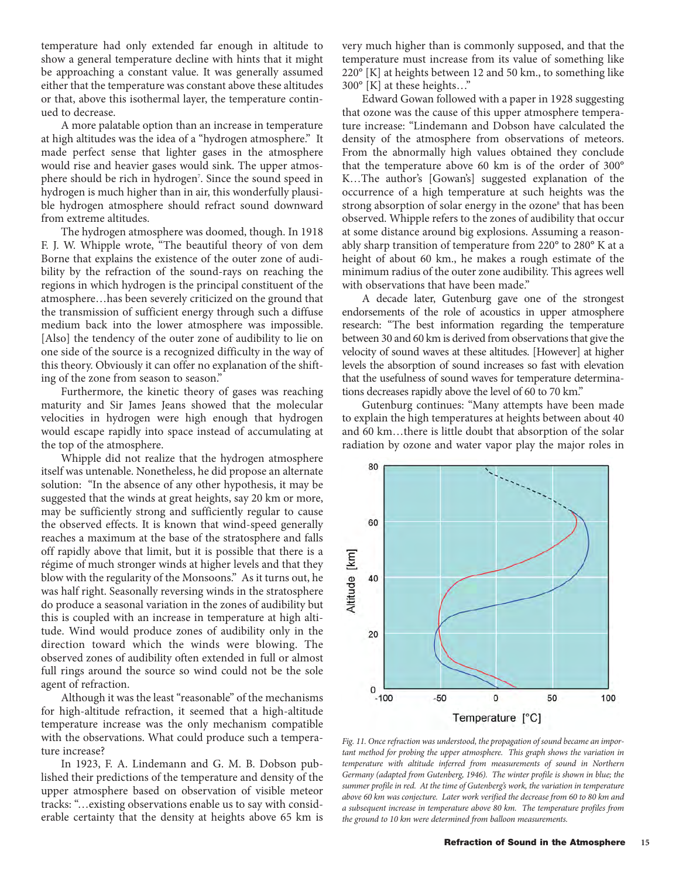temperature had only extended far enough in altitude to show a general temperature decline with hints that it might be approaching a constant value. It was generally assumed either that the temperature was constant above these altitudes or that, above this isothermal layer, the temperature continued to decrease.

A more palatable option than an increase in temperature at high altitudes was the idea of a "hydrogen atmosphere." It made perfect sense that lighter gases in the atmosphere would rise and heavier gases would sink. The upper atmosphere should be rich in hydrogen<sup>7</sup>. Since the sound speed in hydrogen is much higher than in air, this wonderfully plausible hydrogen atmosphere should refract sound downward from extreme altitudes.

The hydrogen atmosphere was doomed, though. In 1918 F. J. W. Whipple wrote, "The beautiful theory of von dem Borne that explains the existence of the outer zone of audibility by the refraction of the sound-rays on reaching the regions in which hydrogen is the principal constituent of the atmosphere…has been severely criticized on the ground that the transmission of sufficient energy through such a diffuse medium back into the lower atmosphere was impossible. [Also] the tendency of the outer zone of audibility to lie on one side of the source is a recognized difficulty in the way of this theory. Obviously it can offer no explanation of the shifting of the zone from season to season."

Furthermore, the kinetic theory of gases was reaching maturity and Sir James Jeans showed that the molecular velocities in hydrogen were high enough that hydrogen would escape rapidly into space instead of accumulating at the top of the atmosphere.

Whipple did not realize that the hydrogen atmosphere itself was untenable. Nonetheless, he did propose an alternate solution: "In the absence of any other hypothesis, it may be suggested that the winds at great heights, say 20 km or more, may be sufficiently strong and sufficiently regular to cause the observed effects. It is known that wind-speed generally reaches a maximum at the base of the stratosphere and falls off rapidly above that limit, but it is possible that there is a régime of much stronger winds at higher levels and that they blow with the regularity of the Monsoons." As it turns out, he was half right. Seasonally reversing winds in the stratosphere do produce a seasonal variation in the zones of audibility but this is coupled with an increase in temperature at high altitude. Wind would produce zones of audibility only in the direction toward which the winds were blowing. The observed zones of audibility often extended in full or almost full rings around the source so wind could not be the sole agent of refraction.

Although it was the least "reasonable" of the mechanisms for high-altitude refraction, it seemed that a high-altitude temperature increase was the only mechanism compatible with the observations. What could produce such a temperature increase?

In 1923, F. A. Lindemann and G. M. B. Dobson published their predictions of the temperature and density of the upper atmosphere based on observation of visible meteor tracks: "…existing observations enable us to say with considerable certainty that the density at heights above 65 km is

very much higher than is commonly supposed, and that the temperature must increase from its value of something like 220° [K] at heights between 12 and 50 km., to something like 300° [K] at these heights…"

Edward Gowan followed with a paper in 1928 suggesting that ozone was the cause of this upper atmosphere temperature increase: "Lindemann and Dobson have calculated the density of the atmosphere from observations of meteors. From the abnormally high values obtained they conclude that the temperature above 60 km is of the order of 300° K…The author's [Gowan's] suggested explanation of the occurrence of a high temperature at such heights was the strong absorption of solar energy in the ozone<sup>8</sup> that has been observed. Whipple refers to the zones of audibility that occur at some distance around big explosions. Assuming a reasonably sharp transition of temperature from 220° to 280° K at a height of about 60 km., he makes a rough estimate of the minimum radius of the outer zone audibility. This agrees well with observations that have been made."

A decade later, Gutenburg gave one of the strongest endorsements of the role of acoustics in upper atmosphere research: "The best information regarding the temperature between 30 and 60 km is derived from observations that give the velocity of sound waves at these altitudes. [However] at higher levels the absorption of sound increases so fast with elevation that the usefulness of sound waves for temperature determinations decreases rapidly above the level of 60 to 70 km."

Gutenburg continues: "Many attempts have been made to explain the high temperatures at heights between about 40 and 60 km…there is little doubt that absorption of the solar radiation by ozone and water vapor play the major roles in



*Fig. 11. Once refraction was understood, the propagation of sound became an important method for probing the upper atmosphere. This graph shows the variation in temperature with altitude inferred from measurements of sound in Northern Germany (adapted from Gutenberg, 1946). The winter profile is shown in blue; the summer profile in red. At the time of Gutenberg's work, the variation in temperature above 60 km was conjecture. Later work verified the decrease from 60 to 80 km and a subsequent increase in temperature above 80 km. The temperature profiles from the ground to 10 km were determined from balloon measurements.*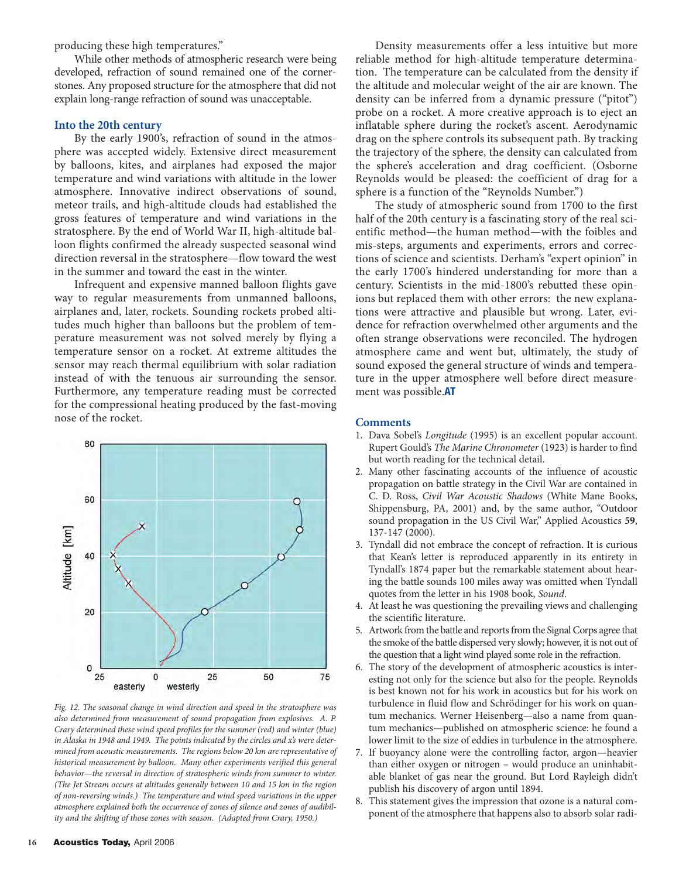producing these high temperatures."

While other methods of atmospheric research were being developed, refraction of sound remained one of the cornerstones. Any proposed structure for the atmosphere that did not explain long-range refraction of sound was unacceptable.

#### **Into the 20th century**

By the early 1900's, refraction of sound in the atmosphere was accepted widely. Extensive direct measurement by balloons, kites, and airplanes had exposed the major temperature and wind variations with altitude in the lower atmosphere. Innovative indirect observations of sound, meteor trails, and high-altitude clouds had established the gross features of temperature and wind variations in the stratosphere. By the end of World War II, high-altitude balloon flights confirmed the already suspected seasonal wind direction reversal in the stratosphere—flow toward the west in the summer and toward the east in the winter.

Infrequent and expensive manned balloon flights gave way to regular measurements from unmanned balloons, airplanes and, later, rockets. Sounding rockets probed altitudes much higher than balloons but the problem of temperature measurement was not solved merely by flying a temperature sensor on a rocket. At extreme altitudes the sensor may reach thermal equilibrium with solar radiation instead of with the tenuous air surrounding the sensor. Furthermore, any temperature reading must be corrected for the compressional heating produced by the fast-moving nose of the rocket.



*Fig. 12. The seasonal change in wind direction and speed in the stratosphere was also determined from measurement of sound propagation from explosives. A. P. Crary determined these wind speed profiles for the summer (red) and winter (blue) in Alaska in 1948 and 1949. The points indicated by the circles and x's were determined from acoustic measurements. The regions below 20 km are representative of historical measurement by balloon. Many other experiments verified this general behavior—the reversal in direction of stratospheric winds from summer to winter. (The Jet Stream occurs at altitudes generally between 10 and 15 km in the region of non-reversing winds.) The temperature and wind speed variations in the upper atmosphere explained both the occurrence of zones of silence and zones of audibility and the shifting of those zones with season. (Adapted from Crary, 1950.)*

Density measurements offer a less intuitive but more reliable method for high-altitude temperature determination. The temperature can be calculated from the density if the altitude and molecular weight of the air are known. The density can be inferred from a dynamic pressure ("pitot") probe on a rocket. A more creative approach is to eject an inflatable sphere during the rocket's ascent. Aerodynamic drag on the sphere controls its subsequent path. By tracking the trajectory of the sphere, the density can calculated from the sphere's acceleration and drag coefficient. (Osborne Reynolds would be pleased: the coefficient of drag for a sphere is a function of the "Reynolds Number.")

The study of atmospheric sound from 1700 to the first half of the 20th century is a fascinating story of the real scientific method—the human method—with the foibles and mis-steps, arguments and experiments, errors and corrections of science and scientists. Derham's "expert opinion" in the early 1700's hindered understanding for more than a century. Scientists in the mid-1800's rebutted these opinions but replaced them with other errors: the new explanations were attractive and plausible but wrong. Later, evidence for refraction overwhelmed other arguments and the often strange observations were reconciled. The hydrogen atmosphere came and went but, ultimately, the study of sound exposed the general structure of winds and temperature in the upper atmosphere well before direct measurement was possible.**AT**

#### **Comments**

- 1. Dava Sobel's *Longitude* (1995) is an excellent popular account. Rupert Gould's *The Marine Chronometer* (1923) is harder to find but worth reading for the technical detail.
- 2. Many other fascinating accounts of the influence of acoustic propagation on battle strategy in the Civil War are contained in C. D. Ross, *Civil War Acoustic Shadows* (White Mane Books, Shippensburg, PA, 2001) and, by the same author, "Outdoor sound propagation in the US Civil War," Applied Acoustics **59**, 137-147 (2000).
- 3. Tyndall did not embrace the concept of refraction. It is curious that Kean's letter is reproduced apparently in its entirety in Tyndall's 1874 paper but the remarkable statement about hearing the battle sounds 100 miles away was omitted when Tyndall quotes from the letter in his 1908 book, *Sound*.
- 4. At least he was questioning the prevailing views and challenging the scientific literature.
- 5. Artwork from the battle and reports from the Signal Corps agree that the smoke of the battle dispersed very slowly; however, it is not out of the question that a light wind played some role in the refraction.
- 6. The story of the development of atmospheric acoustics is interesting not only for the science but also for the people. Reynolds is best known not for his work in acoustics but for his work on turbulence in fluid flow and Schrödinger for his work on quantum mechanics. Werner Heisenberg—also a name from quantum mechanics—published on atmospheric science: he found a lower limit to the size of eddies in turbulence in the atmosphere.
- 7. If buoyancy alone were the controlling factor, argon—heavier than either oxygen or nitrogen – would produce an uninhabitable blanket of gas near the ground. But Lord Rayleigh didn't publish his discovery of argon until 1894.
- This statement gives the impression that ozone is a natural component of the atmosphere that happens also to absorb solar radi-